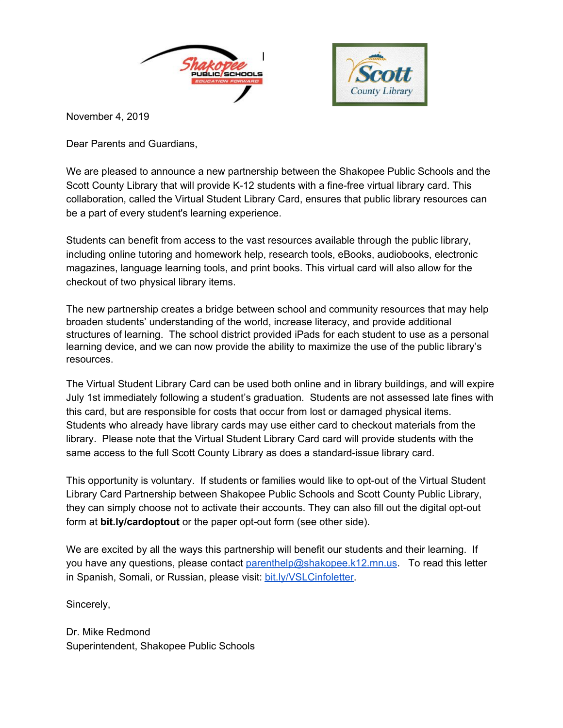



November 4, 2019

Dear Parents and Guardians,

We are pleased to announce a new partnership between the Shakopee Public Schools and the Scott County Library that will provide K-12 students with a fine-free virtual library card. This collaboration, called the Virtual Student Library Card, ensures that public library resources can be a part of every student's learning experience.

Students can benefit from access to the vast resources available through the public library, including online tutoring and homework help, research tools, eBooks, audiobooks, electronic magazines, language learning tools, and print books. This virtual card will also allow for the checkout of two physical library items.

The new partnership creates a bridge between school and community resources that may help broaden students' understanding of the world, increase literacy, and provide additional structures of learning. The school district provided iPads for each student to use as a personal learning device, and we can now provide the ability to maximize the use of the public library's resources.

The Virtual Student Library Card can be used both online and in library buildings, and will expire July 1st immediately following a student's graduation. Students are not assessed late fines with this card, but are responsible for costs that occur from lost or damaged physical items. Students who already have library cards may use either card to checkout materials from the library. Please note that the Virtual Student Library Card card will provide students with the same access to the full Scott County Library as does a standard-issue library card.

This opportunity is voluntary. If students or families would like to opt-out of the Virtual Student Library Card Partnership between Shakopee Public Schools and Scott County Public Library, they can simply choose not to activate their accounts. They can also fill out the digital opt-out form at **bit.ly/cardoptout** or the paper opt-out form (see other side).

We are excited by all the ways this partnership will benefit our students and their learning. If you have any questions, please contact [parenthelp@shakopee.k12.mn.us](mailto:parenthelp@shakopee.k12.mn.us). To read this letter in Spanish, Somali, or Russian, please visit: [bit.ly/VSLCinfoletter.](http://bit.ly/VSLCinfoletter)

Sincerely,

Dr. Mike Redmond Superintendent, Shakopee Public Schools